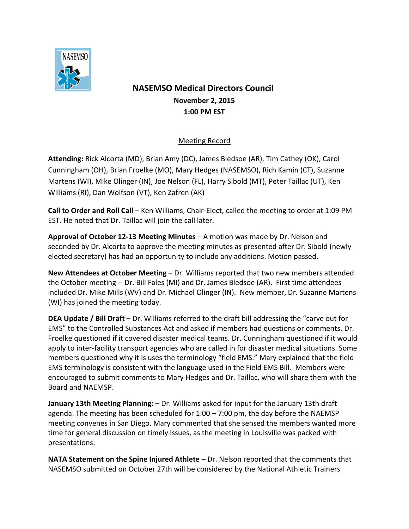

## **NASEMSO Medical Directors Council November 2, 2015 1:00 PM EST**

## Meeting Record

**Attending:** Rick Alcorta (MD), Brian Amy (DC), James Bledsoe (AR), Tim Cathey (OK), Carol Cunningham (OH), Brian Froelke (MO), Mary Hedges (NASEMSO), Rich Kamin (CT), Suzanne Martens (WI), Mike Olinger (IN), Joe Nelson (FL), Harry Sibold (MT), Peter Taillac (UT), Ken Williams (RI), Dan Wolfson (VT), Ken Zafren (AK)

**Call to Order and Roll Call** – Ken Williams, Chair-Elect, called the meeting to order at 1:09 PM EST. He noted that Dr. Taillac will join the call later.

**Approval of October 12-13 Meeting Minutes** – A motion was made by Dr. Nelson and seconded by Dr. Alcorta to approve the meeting minutes as presented after Dr. Sibold (newly elected secretary) has had an opportunity to include any additions. Motion passed.

**New Attendees at October Meeting** – Dr. Williams reported that two new members attended the October meeting -- Dr. Bill Fales (MI) and Dr. James Bledsoe (AR). First time attendees included Dr. Mike Mills (WV) and Dr. Michael Olinger (IN). New member, Dr. Suzanne Martens (WI) has joined the meeting today.

**DEA Update / Bill Draft** – Dr. Williams referred to the draft bill addressing the "carve out for EMS" to the Controlled Substances Act and asked if members had questions or comments. Dr. Froelke questioned if it covered disaster medical teams. Dr. Cunningham questioned if it would apply to inter-facility transport agencies who are called in for disaster medical situations. Some members questioned why it is uses the terminology "field EMS." Mary explained that the field EMS terminology is consistent with the language used in the Field EMS Bill. Members were encouraged to submit comments to Mary Hedges and Dr. Taillac, who will share them with the Board and NAEMSP.

**January 13th Meeting Planning:** – Dr. Williams asked for input for the January 13th draft agenda. The meeting has been scheduled for 1:00 – 7:00 pm, the day before the NAEMSP meeting convenes in San Diego. Mary commented that she sensed the members wanted more time for general discussion on timely issues, as the meeting in Louisville was packed with presentations.

**NATA Statement on the Spine Injured Athlete** – Dr. Nelson reported that the comments that NASEMSO submitted on October 27th will be considered by the National Athletic Trainers